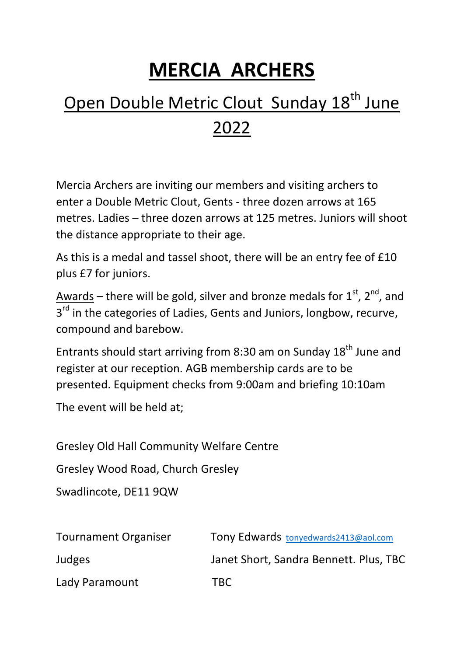## **MERCIA ARCHERS**

## Open Double Metric Clout Sunday 18<sup>th</sup> June 2022

Mercia Archers are inviting our members and visiting archers to enter a Double Metric Clout, Gents - three dozen arrows at 165 metres. Ladies – three dozen arrows at 125 metres. Juniors will shoot the distance appropriate to their age.

As this is a medal and tassel shoot, there will be an entry fee of £10 plus £7 for juniors.

Awards – there will be gold, silver and bronze medals for  $1^{st}$ ,  $2^{nd}$ , and 3<sup>rd</sup> in the categories of Ladies, Gents and Juniors, longbow, recurve, compound and barebow.

Entrants should start arriving from 8:30 am on Sunday 18<sup>th</sup> June and register at our reception. AGB membership cards are to be presented. Equipment checks from 9:00am and briefing 10:10am

The event will be held at;

Gresley Old Hall Community Welfare Centre

Gresley Wood Road, Church Gresley

Swadlincote, DE11 9QW

| <b>Tournament Organiser</b> | Tony Edwards tonyedwards2413@aol.com   |
|-----------------------------|----------------------------------------|
| Judges                      | Janet Short, Sandra Bennett. Plus, TBC |
| Lady Paramount              | TBC.                                   |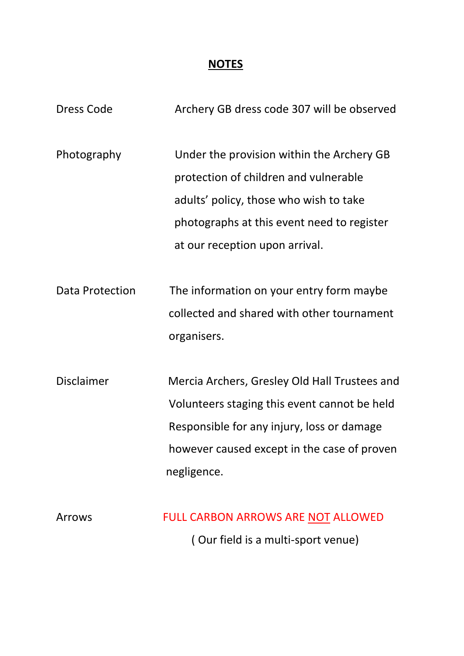## **NOTES**

| <b>Dress Code</b>      | Archery GB dress code 307 will be observed                                                                                                                                                                   |
|------------------------|--------------------------------------------------------------------------------------------------------------------------------------------------------------------------------------------------------------|
| Photography            | Under the provision within the Archery GB<br>protection of children and vulnerable<br>adults' policy, those who wish to take<br>photographs at this event need to register<br>at our reception upon arrival. |
| <b>Data Protection</b> | The information on your entry form maybe<br>collected and shared with other tournament<br>organisers.                                                                                                        |
| <b>Disclaimer</b>      | Mercia Archers, Gresley Old Hall Trustees and<br>Volunteers staging this event cannot be held<br>Responsible for any injury, loss or damage<br>however caused except in the case of proven<br>negligence.    |
| Arrows                 | <b>FULL CARBON ARROWS ARE NOT ALLOWED</b><br>(Our field is a multi-sport venue)                                                                                                                              |